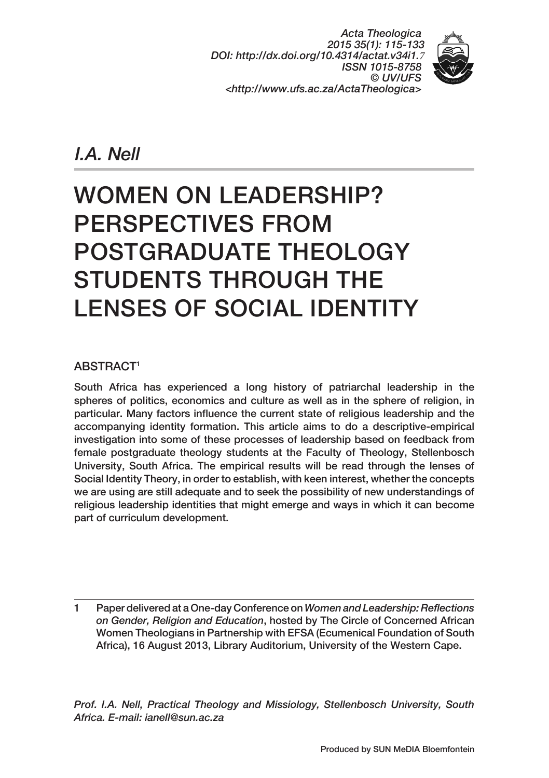*Acta Theologica 2015 35(1): 115‑133 DOI: http://dx.doi.org/10.4314/actat.v34i1.7 ISSN 1015‑8758 © UV/UFS <http://www.ufs.ac.za/ActaTheologica>*



*I.A. Nell*

# WOMEN ON LEADERSHIP? PERSPECTIVES FROM POSTGRADUATE THEOLOGY STUDENTS THROUGH THE LENSES OF SOCIAL IDENTITY

#### ABSTRACT1

South Africa has experienced a long history of patriarchal leadership in the spheres of politics, economics and culture as well as in the sphere of religion, in particular. Many factors influence the current state of religious leadership and the accompanying identity formation. This article aims to do a descriptive-empirical investigation into some of these processes of leadership based on feedback from female postgraduate theology students at the Faculty of Theology, Stellenbosch University, South Africa. The empirical results will be read through the lenses of Social Identity Theory, in order to establish, with keen interest, whether the concepts we are using are still adequate and to seek the possibility of new understandings of religious leadership identities that might emerge and ways in which it can become part of curriculum development.

1 Paper delivered at a One‑day Conference on *Women and Leadership: Reflections on Gender, Religion and Education*, hosted by The Circle of Concerned African Women Theologians in Partnership with EFSA (Ecumenical Foundation of South Africa), 16 August 2013, Library Auditorium, University of the Western Cape.

*Prof. I.A. Nell, Practical Theology and Missiology, Stellenbosch University, South Africa. E‑mail: ianell@sun.ac.za*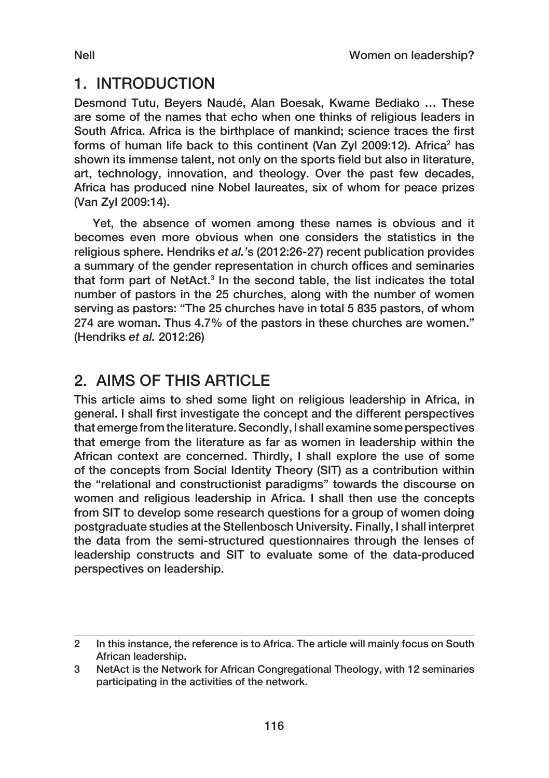### 1. INTRODUCTION

Desmond Tutu, Beyers Naudé, Alan Boesak, Kwame Bediako … These are some of the names that echo when one thinks of religious leaders in South Africa. Africa is the birthplace of mankind; science traces the first forms of human life back to this continent (Van Zyl 2009:12). Africa<sup>2</sup> has shown its immense talent, not only on the sports field but also in literature, art, technology, innovation, and theology. Over the past few decades, Africa has produced nine Nobel laureates, six of whom for peace prizes (Van Zyl 2009:14).

Yet, the absence of women among these names is obvious and it becomes even more obvious when one considers the statistics in the religious sphere. Hendriks *et al.'*s (2012:26‑27) recent publication provides a summary of the gender representation in church offices and seminaries that form part of NetAct.<sup>3</sup> In the second table, the list indicates the total number of pastors in the 25 churches, along with the number of women serving as pastors: "The 25 churches have in total 5 835 pastors, of whom 274 are woman. Thus 4.7% of the pastors in these churches are women." (Hendriks *et al.* 2012:26)

### 2. AIMS OF THIS ARTICLE

This article aims to shed some light on religious leadership in Africa, in general. I shall first investigate the concept and the different perspectives that emerge from the literature. Secondly, I shall examine some perspectives that emerge from the literature as far as women in leadership within the African context are concerned. Thirdly, I shall explore the use of some of the concepts from Social Identity Theory (SIT) as a contribution within the "relational and constructionist paradigms" towards the discourse on women and religious leadership in Africa. I shall then use the concepts from SIT to develop some research questions for a group of women doing postgraduate studies at the Stellenbosch University. Finally, I shall interpret the data from the semi‑structured questionnaires through the lenses of leadership constructs and SIT to evaluate some of the data-produced perspectives on leadership.

<sup>2</sup> In this instance, the reference is to Africa. The article will mainly focus on South African leadership.

<sup>3</sup> NetAct is the Network for African Congregational Theology, with 12 seminaries participating in the activities of the network.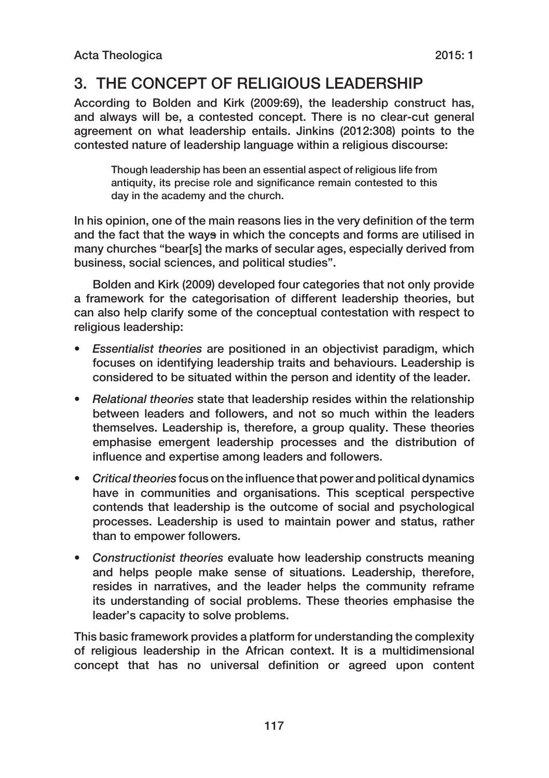### 3. THE CONCEPT OF RELIGIOUS LEADERSHIP

According to Bolden and Kirk (2009:69), the leadership construct has, and always will be, a contested concept. There is no clear-cut general agreement on what leadership entails. Jinkins (2012:308) points to the contested nature of leadership language within a religious discourse:

Though leadership has been an essential aspect of religious life from antiquity, its precise role and significance remain contested to this day in the academy and the church.

In his opinion, one of the main reasons lies in the very definition of the term and the fact that the ways in which the concepts and forms are utilised in many churches "bear[s] the marks of secular ages, especially derived from business, social sciences, and political studies".

Bolden and Kirk (2009) developed four categories that not only provide a framework for the categorisation of different leadership theories, but can also help clarify some of the conceptual contestation with respect to religious leadership:

- *• Essentialist theories* are positioned in an objectivist paradigm, which focuses on identifying leadership traits and behaviours. Leadership is considered to be situated within the person and identity of the leader.
- *• Relational theories* state that leadership resides within the relationship between leaders and followers, and not so much within the leaders themselves. Leadership is, therefore, a group quality. These theories emphasise emergent leadership processes and the distribution of influence and expertise among leaders and followers.
- *• Critical theories* focus on the influence that power and political dynamics have in communities and organisations. This sceptical perspective contends that leadership is the outcome of social and psychological processes. Leadership is used to maintain power and status, rather than to empower followers.
- *• Constructionist theories* evaluate how leadership constructs meaning and helps people make sense of situations. Leadership, therefore, resides in narratives, and the leader helps the community reframe its understanding of social problems. These theories emphasise the leader's capacity to solve problems.

This basic framework provides a platform for understanding the complexity of religious leadership in the African context. It is a multidimensional concept that has no universal definition or agreed upon content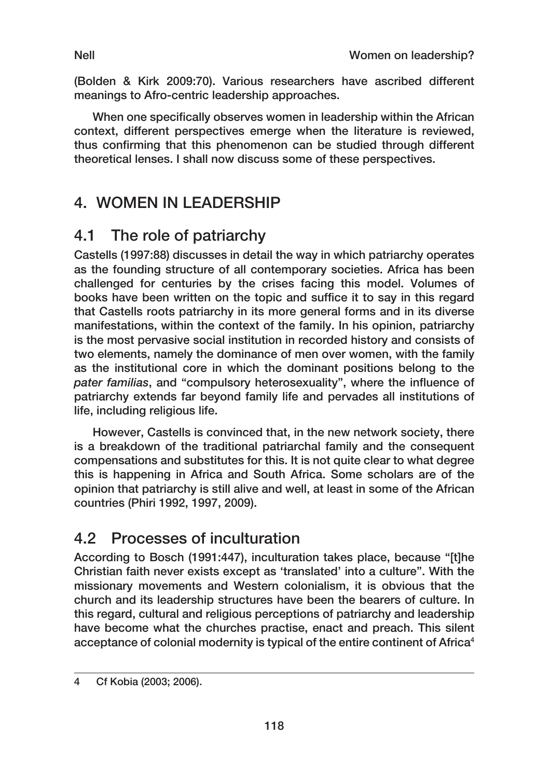(Bolden & Kirk 2009:70). Various researchers have ascribed different meanings to Afro-centric leadership approaches.

When one specifically observes women in leadership within the African context, different perspectives emerge when the literature is reviewed, thus confirming that this phenomenon can be studied through different theoretical lenses. I shall now discuss some of these perspectives.

### 4. WOMEN IN LEADERSHIP

### 4.1 The role of patriarchy

Castells (1997:88) discusses in detail the way in which patriarchy operates as the founding structure of all contemporary societies. Africa has been challenged for centuries by the crises facing this model. Volumes of books have been written on the topic and suffice it to say in this regard that Castells roots patriarchy in its more general forms and in its diverse manifestations, within the context of the family. In his opinion, patriarchy is the most pervasive social institution in recorded history and consists of two elements, namely the dominance of men over women, with the family as the institutional core in which the dominant positions belong to the *pater familias*, and "compulsory heterosexuality", where the influence of patriarchy extends far beyond family life and pervades all institutions of life, including religious life.

However, Castells is convinced that, in the new network society, there is a breakdown of the traditional patriarchal family and the consequent compensations and substitutes for this. It is not quite clear to what degree this is happening in Africa and South Africa. Some scholars are of the opinion that patriarchy is still alive and well, at least in some of the African countries (Phiri 1992, 1997, 2009).

## 4.2 Processes of inculturation

According to Bosch (1991:447), inculturation takes place, because "[t]he Christian faith never exists except as 'translated' into a culture". With the missionary movements and Western colonialism, it is obvious that the church and its leadership structures have been the bearers of culture. In this regard, cultural and religious perceptions of patriarchy and leadership have become what the churches practise, enact and preach. This silent acceptance of colonial modernity is typical of the entire continent of Africa4

<sup>4</sup> Cf Kobia (2003; 2006).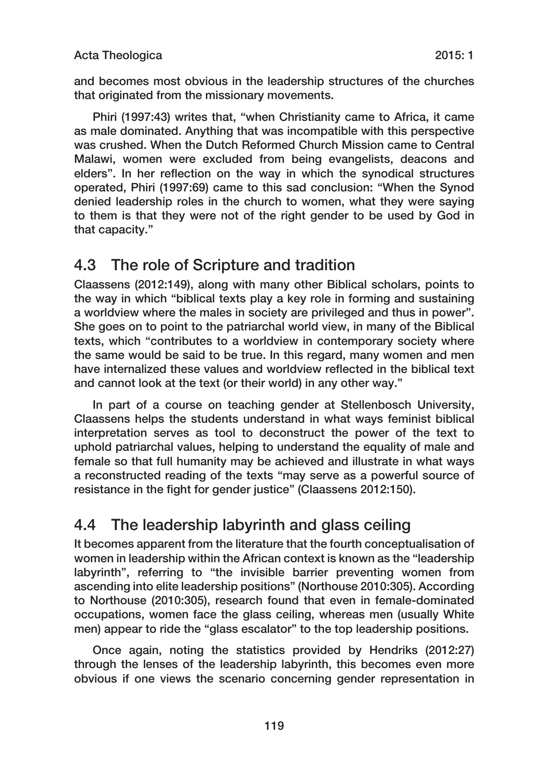#### Acta Theologica 2015: 1

and becomes most obvious in the leadership structures of the churches that originated from the missionary movements.

Phiri (1997:43) writes that, "when Christianity came to Africa, it came as male dominated. Anything that was incompatible with this perspective was crushed. When the Dutch Reformed Church Mission came to Central Malawi, women were excluded from being evangelists, deacons and elders". In her reflection on the way in which the synodical structures operated, Phiri (1997:69) came to this sad conclusion: "When the Synod denied leadership roles in the church to women, what they were saying to them is that they were not of the right gender to be used by God in that capacity."

### 4.3 The role of Scripture and tradition

Claassens (2012:149), along with many other Biblical scholars, points to the way in which "biblical texts play a key role in forming and sustaining a worldview where the males in society are privileged and thus in power". She goes on to point to the patriarchal world view, in many of the Biblical texts, which "contributes to a worldview in contemporary society where the same would be said to be true. In this regard, many women and men have internalized these values and worldview reflected in the biblical text and cannot look at the text (or their world) in any other way."

In part of a course on teaching gender at Stellenbosch University, Claassens helps the students understand in what ways feminist biblical interpretation serves as tool to deconstruct the power of the text to uphold patriarchal values, helping to understand the equality of male and female so that full humanity may be achieved and illustrate in what ways a reconstructed reading of the texts "may serve as a powerful source of resistance in the fight for gender justice" (Claassens 2012:150).

### 4.4 The leadership labyrinth and glass ceiling

It becomes apparent from the literature that the fourth conceptualisation of women in leadership within the African context is known as the "leadership labyrinth", referring to "the invisible barrier preventing women from ascending into elite leadership positions" (Northouse 2010:305). According to Northouse (2010:305), research found that even in female‑dominated occupations, women face the glass ceiling, whereas men (usually White men) appear to ride the "glass escalator" to the top leadership positions.

Once again, noting the statistics provided by Hendriks (2012:27) through the lenses of the leadership labyrinth, this becomes even more obvious if one views the scenario concerning gender representation in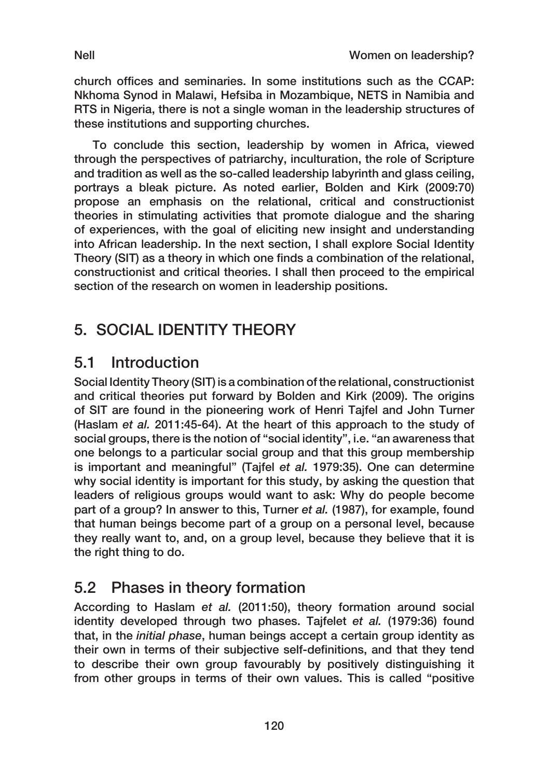church offices and seminaries. In some institutions such as the CCAP: Nkhoma Synod in Malawi, Hefsiba in Mozambique, NETS in Namibia and RTS in Nigeria, there is not a single woman in the leadership structures of these institutions and supporting churches.

To conclude this section, leadership by women in Africa, viewed through the perspectives of patriarchy, inculturation, the role of Scripture and tradition as well as the so‑called leadership labyrinth and glass ceiling, portrays a bleak picture. As noted earlier, Bolden and Kirk (2009:70) propose an emphasis on the relational, critical and constructionist theories in stimulating activities that promote dialogue and the sharing of experiences, with the goal of eliciting new insight and understanding into African leadership. In the next section, I shall explore Social Identity Theory (SIT) as a theory in which one finds a combination of the relational, constructionist and critical theories. I shall then proceed to the empirical section of the research on women in leadership positions.

### 5. SOCIAL IDENTITY THEORY

### 5.1 Introduction

Social Identity Theory (SIT) is a combination of the relational, constructionist and critical theories put forward by Bolden and Kirk (2009). The origins of SIT are found in the pioneering work of Henri Tajfel and John Turner (Haslam *et al.* 2011:45‑64). At the heart of this approach to the study of social groups, there is the notion of "social identity", i.e. "an awareness that one belongs to a particular social group and that this group membership is important and meaningful" (Tajfel *et al.* 1979:35). One can determine why social identity is important for this study, by asking the question that leaders of religious groups would want to ask: Why do people become part of a group? In answer to this, Turner *et al.* (1987), for example, found that human beings become part of a group on a personal level, because they really want to, and, on a group level, because they believe that it is the right thing to do.

### 5.2 Phases in theory formation

According to Haslam *et al.* (2011:50), theory formation around social identity developed through two phases. Tajfelet *et al.* (1979:36) found that, in the *initial phase*, human beings accept a certain group identity as their own in terms of their subjective self‑definitions, and that they tend to describe their own group favourably by positively distinguishing it from other groups in terms of their own values. This is called "positive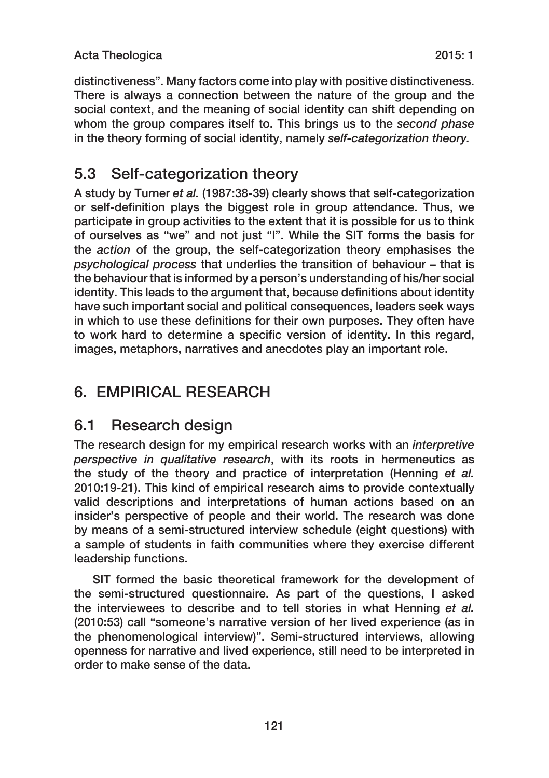distinctiveness". Many factors come into play with positive distinctiveness. There is always a connection between the nature of the group and the social context, and the meaning of social identity can shift depending on whom the group compares itself to. This brings us to the *second phase* in the theory forming of social identity, namely *self‑categorization theory.*

### 5.3 Self‑categorization theory

A study by Turner *et al.* (1987:38‑39) clearly shows that self‑categorization or self‑definition plays the biggest role in group attendance. Thus, we participate in group activities to the extent that it is possible for us to think of ourselves as "we" and not just "I". While the SIT forms the basis for the *action* of the group, the self‑categorization theory emphasises the *psychological process* that underlies the transition of behaviour – that is the behaviour that is informed by a person's understanding of his/her social identity. This leads to the argument that, because definitions about identity have such important social and political consequences, leaders seek ways in which to use these definitions for their own purposes. They often have to work hard to determine a specific version of identity. In this regard, images, metaphors, narratives and anecdotes play an important role.

## 6. EMPIRICAL RESEARCH

### 6.1 Research design

The research design for my empirical research works with an *interpretive perspective in qualitative research*, with its roots in hermeneutics as the study of the theory and practice of interpretation (Henning *et al.* 2010:19‑21). This kind of empirical research aims to provide contextually valid descriptions and interpretations of human actions based on an insider's perspective of people and their world. The research was done by means of a semi‑structured interview schedule (eight questions) with a sample of students in faith communities where they exercise different leadership functions.

SIT formed the basic theoretical framework for the development of the semi‑structured questionnaire. As part of the questions, I asked the interviewees to describe and to tell stories in what Henning *et al.* (2010:53) call "someone's narrative version of her lived experience (as in the phenomenological interview)". Semi‑structured interviews, allowing openness for narrative and lived experience, still need to be interpreted in order to make sense of the data.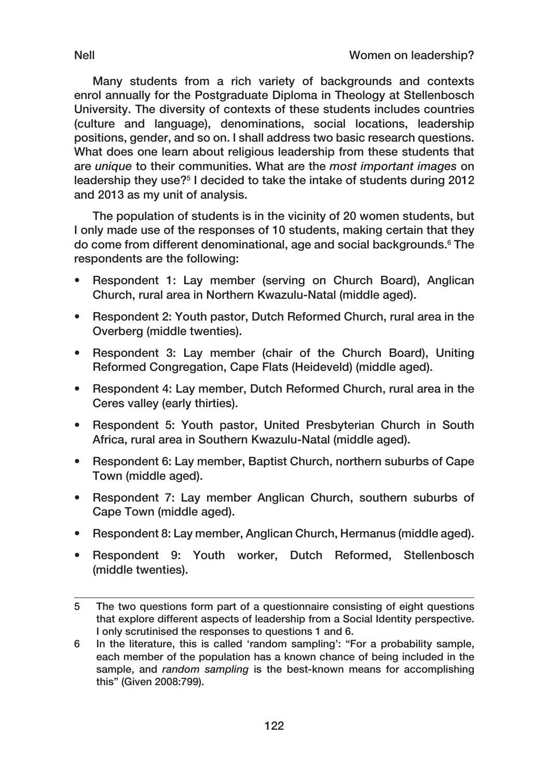Many students from a rich variety of backgrounds and contexts enrol annually for the Postgraduate Diploma in Theology at Stellenbosch University. The diversity of contexts of these students includes countries (culture and language), denominations, social locations, leadership positions, gender, and so on. I shall address two basic research questions. What does one learn about religious leadership from these students that are *unique* to their communities. What are the *most important images* on leadership they use?<sup>5</sup> I decided to take the intake of students during 2012 and 2013 as my unit of analysis.

The population of students is in the vicinity of 20 women students, but I only made use of the responses of 10 students, making certain that they do come from different denominational, age and social backgrounds.<sup>6</sup> The respondents are the following:

- Respondent 1: Lay member (serving on Church Board), Anglican Church, rural area in Northern Kwazulu‑Natal (middle aged).
- Respondent 2: Youth pastor, Dutch Reformed Church, rural area in the Overberg (middle twenties).
- Respondent 3: Lay member (chair of the Church Board), Uniting Reformed Congregation, Cape Flats (Heideveld) (middle aged).
- Respondent 4: Lay member, Dutch Reformed Church, rural area in the Ceres valley (early thirties).
- Respondent 5: Youth pastor, United Presbyterian Church in South Africa, rural area in Southern Kwazulu‑Natal (middle aged).
- Respondent 6: Lay member, Baptist Church, northern suburbs of Cape Town (middle aged).
- Respondent 7: Lay member Anglican Church, southern suburbs of Cape Town (middle aged).
- Respondent 8: Lay member, Anglican Church, Hermanus (middle aged).
- Respondent 9: Youth worker, Dutch Reformed, Stellenbosch (middle twenties).

<sup>5</sup> The two questions form part of a questionnaire consisting of eight questions that explore different aspects of leadership from a Social Identity perspective. I only scrutinised the responses to questions 1 and 6.

<sup>6</sup> In the literature, this is called 'random sampling': "For a probability sample, each member of the population has a known chance of being included in the sample, and *random sampling* is the best-known means for accomplishing this" (Given 2008:799).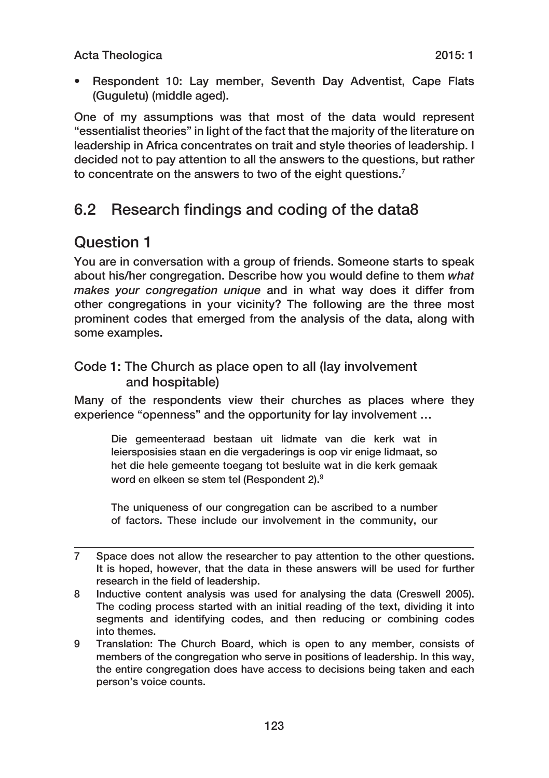• Respondent 10: Lay member, Seventh Day Adventist, Cape Flats (Guguletu) (middle aged).

One of my assumptions was that most of the data would represent "essentialist theories" in light of the fact that the majority of the literature on leadership in Africa concentrates on trait and style theories of leadership. I decided not to pay attention to all the answers to the questions, but rather to concentrate on the answers to two of the eight questions.<sup>7</sup>

### 6.2 Research findings and coding of the data8

### Question 1

You are in conversation with a group of friends. Someone starts to speak about his/her congregation. Describe how you would define to them *what makes your congregation unique* and in what way does it differ from other congregations in your vicinity? The following are the three most prominent codes that emerged from the analysis of the data, along with some examples.

#### Code 1: The Church as place open to all (lay involvement and hospitable)

Many of the respondents view their churches as places where they experience "openness" and the opportunity for lay involvement …

Die gemeenteraad bestaan uit lidmate van die kerk wat in leiersposisies staan en die vergaderings is oop vir enige lidmaat, so het die hele gemeente toegang tot besluite wat in die kerk gemaak word en elkeen se stem tel (Respondent 2).<sup>9</sup>

The uniqueness of our congregation can be ascribed to a number of factors. These include our involvement in the community, our

- 8 Inductive content analysis was used for analysing the data (Creswell 2005). The coding process started with an initial reading of the text, dividing it into segments and identifying codes, and then reducing or combining codes into themes.
- 9 Translation: The Church Board, which is open to any member, consists of members of the congregation who serve in positions of leadership. In this way, the entire congregation does have access to decisions being taken and each person's voice counts.

<sup>7</sup> Space does not allow the researcher to pay attention to the other questions. It is hoped, however, that the data in these answers will be used for further research in the field of leadership.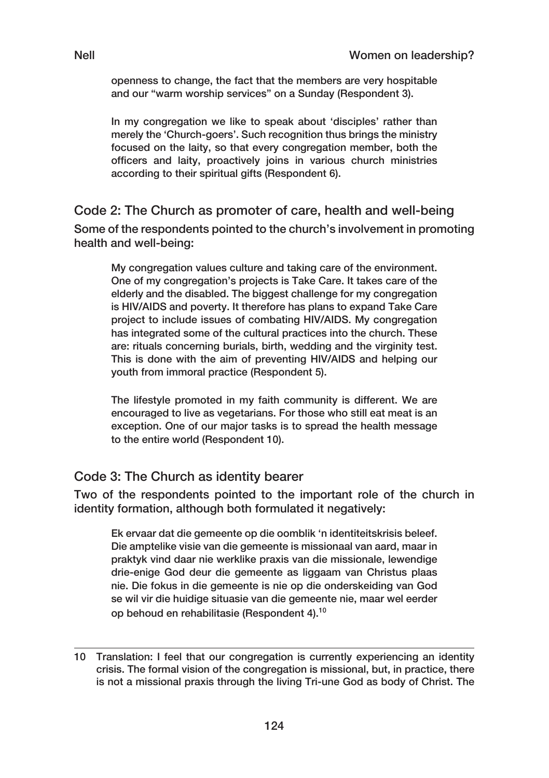openness to change, the fact that the members are very hospitable and our "warm worship services" on a Sunday (Respondent 3).

In my congregation we like to speak about 'disciples' rather than merely the 'Church-goers'. Such recognition thus brings the ministry focused on the laity, so that every congregation member, both the officers and laity, proactively joins in various church ministries according to their spiritual gifts (Respondent 6).

Code 2: The Church as promoter of care, health and well‑being Some of the respondents pointed to the church's involvement in promoting health and well-being:

My congregation values culture and taking care of the environment. One of my congregation's projects is Take Care. It takes care of the elderly and the disabled. The biggest challenge for my congregation is HIV/AIDS and poverty. It therefore has plans to expand Take Care project to include issues of combating HIV/AIDS. My congregation has integrated some of the cultural practices into the church. These are: rituals concerning burials, birth, wedding and the virginity test. This is done with the aim of preventing HIV/AIDS and helping our youth from immoral practice (Respondent 5).

The lifestyle promoted in my faith community is different. We are encouraged to live as vegetarians. For those who still eat meat is an exception. One of our major tasks is to spread the health message to the entire world (Respondent 10).

#### Code 3: The Church as identity bearer

Two of the respondents pointed to the important role of the church in identity formation, although both formulated it negatively:

Ek ervaar dat die gemeente op die oomblik 'n identiteitskrisis beleef. Die amptelike visie van die gemeente is missionaal van aard, maar in praktyk vind daar nie werklike praxis van die missionale, lewendige drie‑enige God deur die gemeente as liggaam van Christus plaas nie. Die fokus in die gemeente is nie op die onderskeiding van God se wil vir die huidige situasie van die gemeente nie, maar wel eerder op behoud en rehabilitasie (Respondent 4).10

<sup>10</sup> Translation: I feel that our congregation is currently experiencing an identity crisis. The formal vision of the congregation is missional, but, in practice, there is not a missional praxis through the living Tri‑une God as body of Christ. The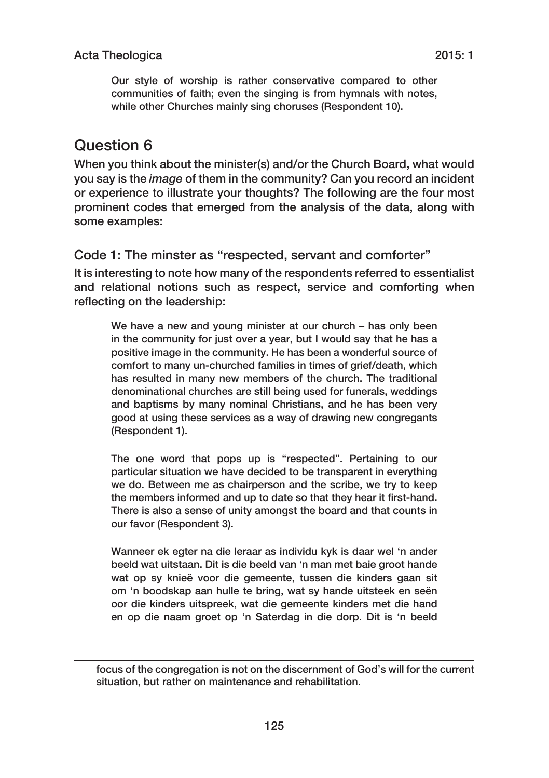Our style of worship is rather conservative compared to other communities of faith; even the singing is from hymnals with notes, while other Churches mainly sing choruses (Respondent 10).

### Question 6

When you think about the minister(s) and/or the Church Board, what would you say is the *image* of them in the community? Can you record an incident or experience to illustrate your thoughts? The following are the four most prominent codes that emerged from the analysis of the data, along with some examples:

#### Code 1: The minster as "respected, servant and comforter"

It is interesting to note how many of the respondents referred to essentialist and relational notions such as respect, service and comforting when reflecting on the leadership:

We have a new and young minister at our church – has only been in the community for just over a year, but I would say that he has a positive image in the community. He has been a wonderful source of comfort to many un-churched families in times of grief/death, which has resulted in many new members of the church. The traditional denominational churches are still being used for funerals, weddings and baptisms by many nominal Christians, and he has been very good at using these services as a way of drawing new congregants (Respondent 1).

The one word that pops up is "respected". Pertaining to our particular situation we have decided to be transparent in everything we do. Between me as chairperson and the scribe, we try to keep the members informed and up to date so that they hear it first-hand. There is also a sense of unity amongst the board and that counts in our favor (Respondent 3).

Wanneer ek egter na die leraar as individu kyk is daar wel 'n ander beeld wat uitstaan. Dit is die beeld van 'n man met baie groot hande wat op sy knieë voor die gemeente, tussen die kinders gaan sit om 'n boodskap aan hulle te bring, wat sy hande uitsteek en seën oor die kinders uitspreek, wat die gemeente kinders met die hand en op die naam groet op 'n Saterdag in die dorp. Dit is 'n beeld

focus of the congregation is not on the discernment of God's will for the current situation, but rather on maintenance and rehabilitation.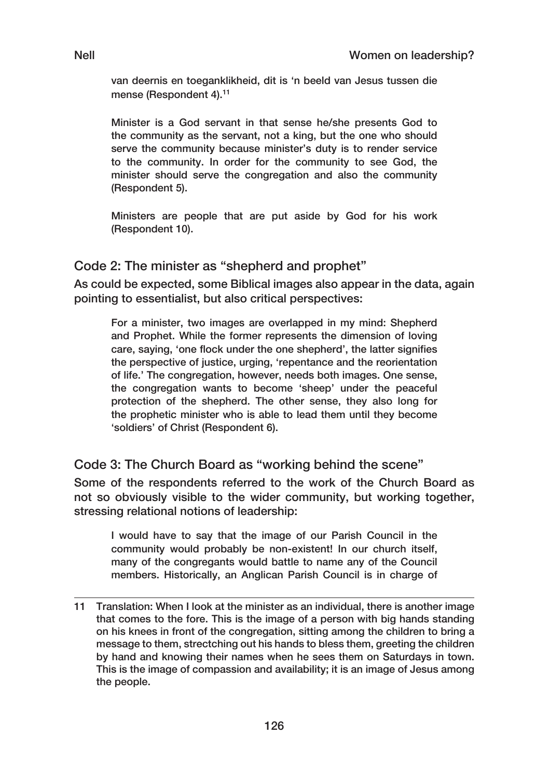van deernis en toeganklikheid, dit is 'n beeld van Jesus tussen die mense (Respondent 4).<sup>11</sup>

Minister is a God servant in that sense he/she presents God to the community as the servant, not a king, but the one who should serve the community because minister's duty is to render service to the community. In order for the community to see God, the minister should serve the congregation and also the community (Respondent 5).

Ministers are people that are put aside by God for his work (Respondent 10).

Code 2: The minister as "shepherd and prophet"

As could be expected, some Biblical images also appear in the data, again pointing to essentialist, but also critical perspectives:

For a minister, two images are overlapped in my mind: Shepherd and Prophet. While the former represents the dimension of loving care, saying, 'one flock under the one shepherd', the latter signifies the perspective of justice, urging, 'repentance and the reorientation of life.' The congregation, however, needs both images. One sense, the congregation wants to become 'sheep' under the peaceful protection of the shepherd. The other sense, they also long for the prophetic minister who is able to lead them until they become 'soldiers' of Christ (Respondent 6).

Code 3: The Church Board as "working behind the scene"

Some of the respondents referred to the work of the Church Board as not so obviously visible to the wider community, but working together, stressing relational notions of leadership:

I would have to say that the image of our Parish Council in the community would probably be non‑existent! In our church itself, many of the congregants would battle to name any of the Council members. Historically, an Anglican Parish Council is in charge of

<sup>11</sup> Translation: When I look at the minister as an individual, there is another image that comes to the fore. This is the image of a person with big hands standing on his knees in front of the congregation, sitting among the children to bring a message to them, strectching out his hands to bless them, greeting the children by hand and knowing their names when he sees them on Saturdays in town. This is the image of compassion and availability; it is an image of Jesus among the people.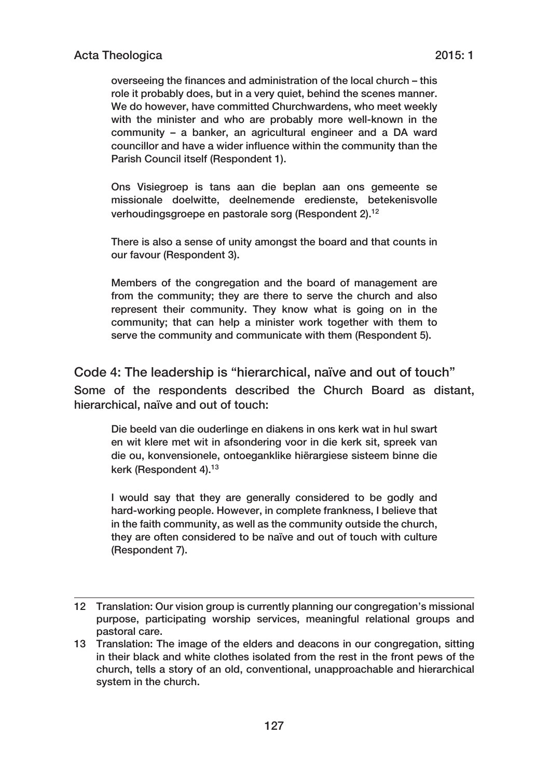overseeing the finances and administration of the local church – this role it probably does, but in a very quiet, behind the scenes manner. We do however, have committed Churchwardens, who meet weekly with the minister and who are probably more well-known in the community – a banker, an agricultural engineer and a DA ward councillor and have a wider influence within the community than the Parish Council itself (Respondent 1).

Ons Visiegroep is tans aan die beplan aan ons gemeente se missionale doelwitte, deelnemende eredienste, betekenisvolle verhoudingsgroepe en pastorale sorg (Respondent 2).12

There is also a sense of unity amongst the board and that counts in our favour (Respondent 3).

Members of the congregation and the board of management are from the community; they are there to serve the church and also represent their community. They know what is going on in the community; that can help a minister work together with them to serve the community and communicate with them (Respondent 5).

Code 4: The leadership is "hierarchical, naïve and out of touch" Some of the respondents described the Church Board as distant, hierarchical, naïve and out of touch:

Die beeld van die ouderlinge en diakens in ons kerk wat in hul swart en wit klere met wit in afsondering voor in die kerk sit, spreek van die ou, konvensionele, ontoeganklike hiërargiese sisteem binne die kerk (Respondent 4).13

I would say that they are generally considered to be godly and hard-working people. However, in complete frankness, I believe that in the faith community, as well as the community outside the church, they are often considered to be naïve and out of touch with culture (Respondent 7).

<sup>12</sup> Translation: Our vision group is currently planning our congregation's missional purpose, participating worship services, meaningful relational groups and pastoral care.

<sup>13</sup> Translation: The image of the elders and deacons in our congregation, sitting in their black and white clothes isolated from the rest in the front pews of the church, tells a story of an old, conventional, unapproachable and hierarchical system in the church.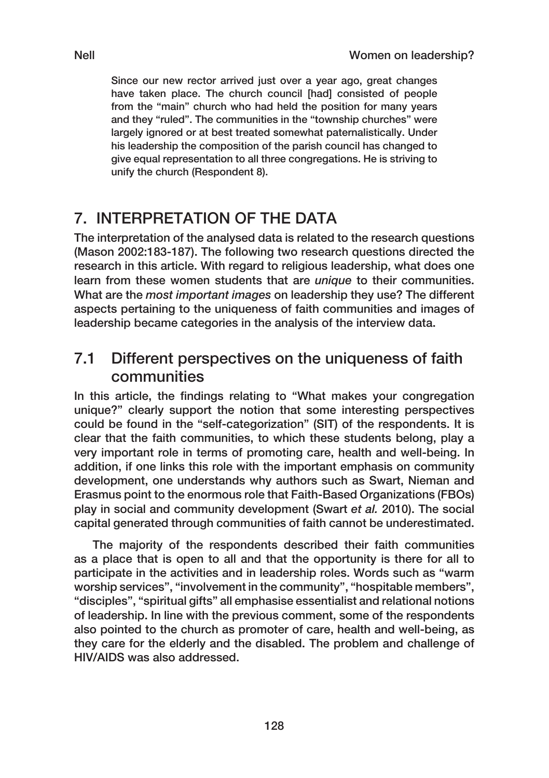Since our new rector arrived just over a year ago, great changes have taken place. The church council [had] consisted of people from the "main" church who had held the position for many years and they "ruled". The communities in the "township churches" were largely ignored or at best treated somewhat paternalistically. Under his leadership the composition of the parish council has changed to give equal representation to all three congregations. He is striving to unify the church (Respondent 8).

### 7. INTERPRETATION OF THE DATA

The interpretation of the analysed data is related to the research questions (Mason 2002:183‑187). The following two research questions directed the research in this article. With regard to religious leadership, what does one learn from these women students that are *unique* to their communities. What are the *most important images* on leadership they use? The different aspects pertaining to the uniqueness of faith communities and images of leadership became categories in the analysis of the interview data.

#### 7.1 Different perspectives on the uniqueness of faith communities

In this article, the findings relating to "What makes your congregation unique?" clearly support the notion that some interesting perspectives could be found in the "self-categorization" (SIT) of the respondents. It is clear that the faith communities, to which these students belong, play a very important role in terms of promoting care, health and well-being. In addition, if one links this role with the important emphasis on community development, one understands why authors such as Swart, Nieman and Erasmus point to the enormous role that Faith‑Based Organizations (FBOs) play in social and community development (Swart *et al.* 2010). The social capital generated through communities of faith cannot be underestimated.

The majority of the respondents described their faith communities as a place that is open to all and that the opportunity is there for all to participate in the activities and in leadership roles. Words such as "warm worship services", "involvement in the community", "hospitable members", "disciples", "spiritual gifts" all emphasise essentialist and relational notions of leadership. In line with the previous comment, some of the respondents also pointed to the church as promoter of care, health and well-being, as they care for the elderly and the disabled. The problem and challenge of HIV/AIDS was also addressed.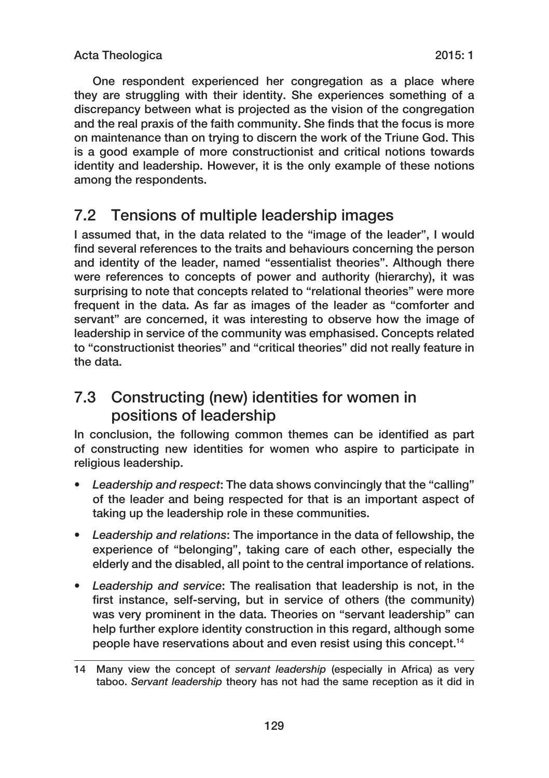One respondent experienced her congregation as a place where they are struggling with their identity. She experiences something of a discrepancy between what is projected as the vision of the congregation and the real praxis of the faith community. She finds that the focus is more on maintenance than on trying to discern the work of the Triune God. This is a good example of more constructionist and critical notions towards identity and leadership. However, it is the only example of these notions among the respondents.

### 7.2 Tensions of multiple leadership images

I assumed that, in the data related to the "image of the leader", I would find several references to the traits and behaviours concerning the person and identity of the leader, named "essentialist theories". Although there were references to concepts of power and authority (hierarchy), it was surprising to note that concepts related to "relational theories" were more frequent in the data. As far as images of the leader as "comforter and servant" are concerned, it was interesting to observe how the image of leadership in service of the community was emphasised. Concepts related to "constructionist theories" and "critical theories" did not really feature in the data.

### 7.3 Constructing (new) identities for women in positions of leadership

In conclusion, the following common themes can be identified as part of constructing new identities for women who aspire to participate in religious leadership.

- *Leadership and respect*: The data shows convincingly that the "calling" of the leader and being respected for that is an important aspect of taking up the leadership role in these communities.
- *Leadership and relations*: The importance in the data of fellowship, the experience of "belonging", taking care of each other, especially the elderly and the disabled, all point to the central importance of relations.
- *Leadership and service*: The realisation that leadership is not, in the first instance, self-serving, but in service of others (the community) was very prominent in the data. Theories on "servant leadership" can help further explore identity construction in this regard, although some people have reservations about and even resist using this concept.14

<sup>14</sup> Many view the concept of *servant leadership* (especially in Africa) as very taboo. *Servant leadership* theory has not had the same reception as it did in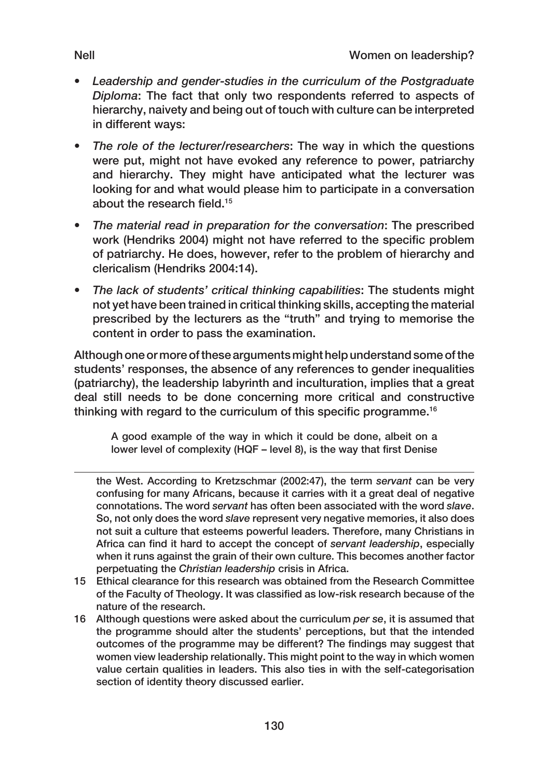- *Leadership and gender‑studies in the curriculum of the Postgraduate Diploma*: The fact that only two respondents referred to aspects of hierarchy, naivety and being out of touch with culture can be interpreted in different ways:
- *The role of the lecturer/researchers*: The way in which the questions were put, might not have evoked any reference to power, patriarchy and hierarchy. They might have anticipated what the lecturer was looking for and what would please him to participate in a conversation about the research field.15
- *The material read in preparation for the conversation*: The prescribed work (Hendriks 2004) might not have referred to the specific problem of patriarchy. He does, however, refer to the problem of hierarchy and clericalism (Hendriks 2004:14).
- *The lack of students' critical thinking capabilities*: The students might not yet have been trained in critical thinking skills, accepting the material prescribed by the lecturers as the "truth" and trying to memorise the content in order to pass the examination.

Although one or more of these arguments might help understand some of the students' responses, the absence of any references to gender inequalities (patriarchy), the leadership labyrinth and inculturation, implies that a great deal still needs to be done concerning more critical and constructive thinking with regard to the curriculum of this specific programme.<sup>16</sup>

A good example of the way in which it could be done, albeit on a lower level of complexity (HQF – level 8), is the way that first Denise

- 15 Ethical clearance for this research was obtained from the Research Committee of the Faculty of Theology. It was classified as low‑risk research because of the nature of the research.
- 16 Although questions were asked about the curriculum *per se*, it is assumed that the programme should alter the students' perceptions, but that the intended outcomes of the programme may be different? The findings may suggest that women view leadership relationally. This might point to the way in which women value certain qualities in leaders. This also ties in with the self-categorisation section of identity theory discussed earlier.

the West. According to Kretzschmar (2002:47), the term *servant* can be very confusing for many Africans, because it carries with it a great deal of negative connotations. The word *servant* has often been associated with the word *slave*. So, not only does the word *slave* represent very negative memories, it also does not suit a culture that esteems powerful leaders. Therefore, many Christians in Africa can find it hard to accept the concept of *servant leadership*, especially when it runs against the grain of their own culture. This becomes another factor perpetuating the *Christian leadership* crisis in Africa.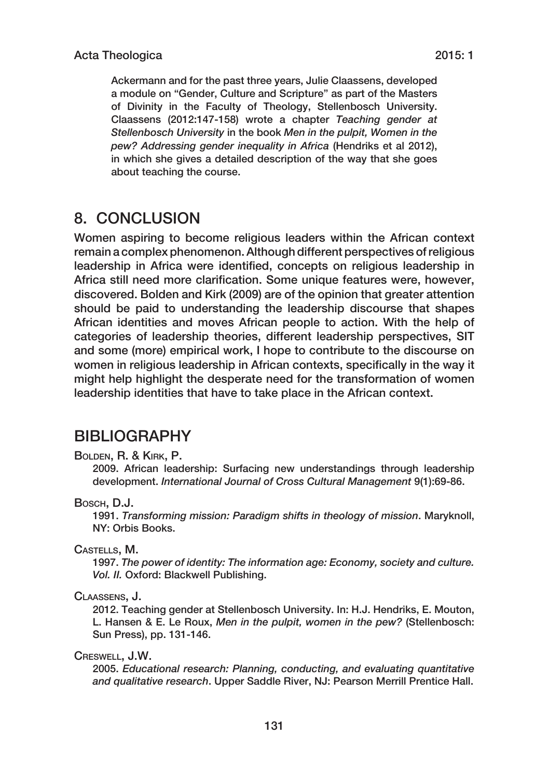Ackermann and for the past three years, Julie Claassens, developed a module on "Gender, Culture and Scripture" as part of the Masters of Divinity in the Faculty of Theology, Stellenbosch University. Claassens (2012:147‑158) wrote a chapter *Teaching gender at Stellenbosch University* in the book *Men in the pulpit, Women in the pew? Addressing gender inequality in Africa* (Hendriks et al 2012), in which she gives a detailed description of the way that she goes about teaching the course.

#### 8. CONCLUSION

Women aspiring to become religious leaders within the African context remain a complex phenomenon. Although different perspectives of religious leadership in Africa were identified, concepts on religious leadership in Africa still need more clarification. Some unique features were, however, discovered. Bolden and Kirk (2009) are of the opinion that greater attention should be paid to understanding the leadership discourse that shapes African identities and moves African people to action. With the help of categories of leadership theories, different leadership perspectives, SIT and some (more) empirical work, I hope to contribute to the discourse on women in religious leadership in African contexts, specifically in the way it might help highlight the desperate need for the transformation of women leadership identities that have to take place in the African context.

#### **BIBLIOGRAPHY**

#### Bolden, R. & Kirk, P.

2009. African leadership: Surfacing new understandings through leadership development. *International Journal of Cross Cultural Management* 9(1):69‑86.

#### Bosch, D.J.

1991. *Transforming mission: Paradigm shifts in theology of mission*. Maryknoll, NY: Orbis Books.

Castells, M.

1997. *The power of identity: The information age: Economy, society and culture. Vol. II.* Oxford: Blackwell Publishing.

Claassens, J.

2012. Teaching gender at Stellenbosch University. In: H.J. Hendriks, E. Mouton, L. Hansen & E. Le Roux, *Men in the pulpit, women in the pew?* (Stellenbosch: Sun Press), pp. 131‑146.

#### Creswell, J.W.

2005. *Educational research: Planning, conducting, and evaluating quantitative and qualitative research*. Upper Saddle River, NJ: Pearson Merrill Prentice Hall.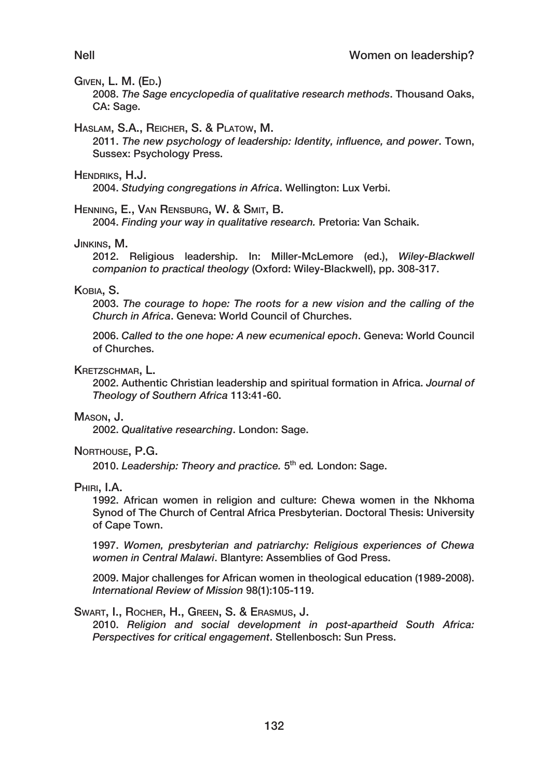#### **GIVEN, L. M. (ED.)**

2008. *The Sage encyclopedia of qualitative research methods*. Thousand Oaks, CA: Sage.

#### Haslam, S.A., Reicher, S. & Platow, M.

2011. *The new psychology of leadership: Identity, influence, and power*. Town, Sussex: Psychology Press.

#### Hendriks, H.J.

2004. *Studying congregations in Africa*. Wellington: Lux Verbi.

#### Henning, E., Van Rensburg, W. & Smit, B.

2004. *Finding your way in qualitative research.* Pretoria: Van Schaik.

#### Jinkins, M.

2012. Religious leadership. In: Miller‑McLemore (ed.), *Wiley‑Blackwell companion to practical theology* (Oxford: Wiley‑Blackwell), pp. 308‑317.

#### Kobia, S.

2003. *The courage to hope: The roots for a new vision and the calling of the Church in Africa*. Geneva: World Council of Churches.

2006. *Called to the one hope: A new ecumenical epoch*. Geneva: World Council of Churches.

#### Kretzschmar, L.

2002. Authentic Christian leadership and spiritual formation in Africa. *Journal of Theology of Southern Africa* 113:41‑60.

#### Mason, J.

2002. *Qualitative researching*. London: Sage.

#### Northouse, P.G.

2010. *Leadership: Theory and practice.* 5th ed*.* London: Sage.

#### Phiri, I.A.

1992. African women in religion and culture: Chewa women in the Nkhoma Synod of The Church of Central Africa Presbyterian. Doctoral Thesis: University of Cape Town.

1997. *Women, presbyterian and patriarchy: Religious experiences of Chewa women in Central Malawi*. Blantyre: Assemblies of God Press.

2009. Major challenges for African women in theological education (1989‑2008). *International Review of Mission* 98(1):105‑119.

#### Swart, I., Rocher, H., Green, S. & Erasmus, J.

2010. *Religion and social development in post‑apartheid South Africa: Perspectives for critical engagement*. Stellenbosch: Sun Press.